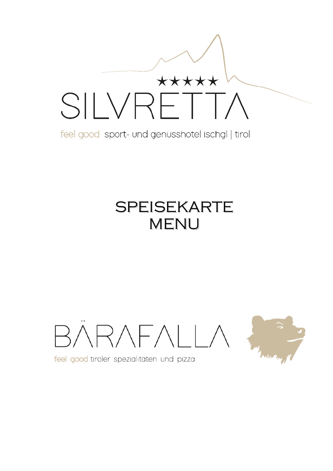

feel good sport- und genusshotel ischgl | tirol

# SPEISEKARTE MENU

 $RRATALI$ 



feel good tiroler spezialitäten und pizza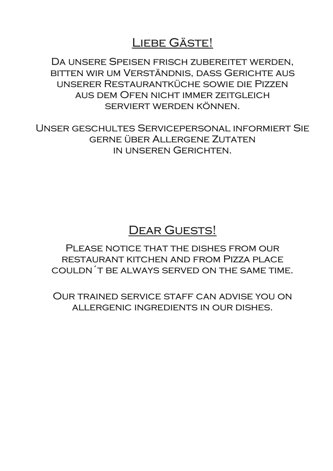### Liebe Gäste!

Da unsere Speisen frisch zubereitet werden, bitten wir um Verständnis, dass Gerichte aus unserer Restaurantküche sowie die Pizzen aus dem Ofen nicht immer zeitgleich serviert werden können.

Unser geschultes Servicepersonal informiert Sie gerne über Allergene Zutaten in unseren Gerichten.

### DEAR GUESTS!

PLEASE NOTICE THAT THE DISHES FROM OUR restaurant kitchen and from Pizza place couldn´t be always served on the same time.

Our trained service staff can advise you on allergenic ingredients in our dishes.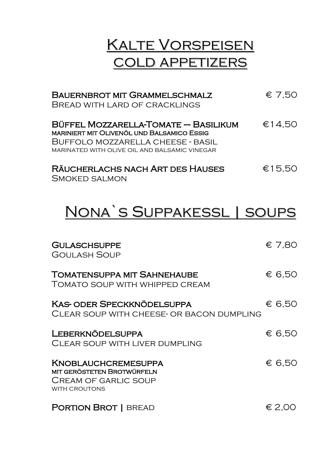## Kalte Vorspeisen cold appetizers

| <b>BAUERNBROT MIT GRAMMELSCHMALZ</b><br>BREAD WITH LARD OF CRACKLINGS                                                                                                    | $\epsilon$ 7.50 |
|--------------------------------------------------------------------------------------------------------------------------------------------------------------------------|-----------------|
| Büffel Mozzarella-Tomate — Basilikum<br>MARINIERT MIT OLIVENÖL UND BALSAMICO ESSIG<br>BUFFOLO MOZZARELLA CHEESE - BASIL<br>MARINATED WITH OLIVE OIL AND BALSAMIC VINEGAR | €14.50          |
| RÄUCHERLACHS NACH ART DES HAUSES                                                                                                                                         | €15.50          |

| RAUCHERLACHS NACH ART DES HAUSES | E15,50 |
|----------------------------------|--------|
| SMOKED SALMON                    |        |

# Nona`s Suppakessl | soups

| <b>GULASCHSUPPE</b><br><b>GOULASH SOUP</b>                                                                      | € 7,80 |
|-----------------------------------------------------------------------------------------------------------------|--------|
| <b>TOMATENSUPPA MIT SAHNEHAUBE</b><br>TOMATO SOUP WITH WHIPPED CREAM                                            | € 6,50 |
| <b>KAS- ODER SPECKKNÖDELSUPPA</b><br>CLEAR SOUP WITH CHEESE- OR BACON DUMPLING                                  | € 6,50 |
| <b>LEBERKNÖDELSUPPA</b><br>CLEAR SOUP WITH LIVER DUMPLING                                                       | € 6,50 |
| <b>KNOBLAUCHCREMESUPPA</b><br><b>MIT GERÖSTETEN BROTWÜRFELN</b><br><b>CREAM OF GARLIC SOUP</b><br>WITH CROUTONS | € 6,50 |
| <b>PORTION BROT   BREAD</b>                                                                                     | € 2,00 |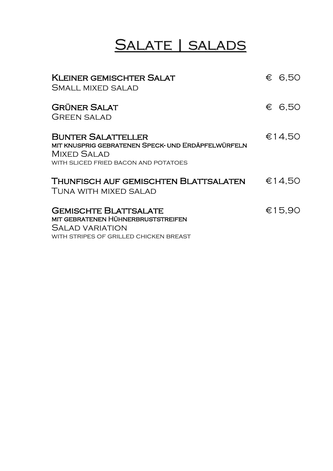# Salate | salads

| <b>KLEINER GEMISCHTER SALAT</b><br>SMALL MIXED SALAD                                                                                   | € 6.50 |
|----------------------------------------------------------------------------------------------------------------------------------------|--------|
| <b>GRÜNER SALAT</b><br>GREEN SALAD                                                                                                     | € 6.50 |
| <b>BUNTER SALATTELLER</b><br>MIT KNUSPRIG GEBRATENEN SPECK- UND ERDÄPFELWÜRFELN<br>MIXED SALAD<br>WITH SLICED FRIED BACON AND POTATOES | €14,50 |
| THUNFISCH AUF GEMISCHTEN BLATTSALATEN<br>TUNA WITH MIXED SALAD                                                                         | €14,50 |
| <b>GEMISCHTE BLATTSALATE</b><br>MIT GEBRATENEN HÜHNERBRUSTSTREIFEN<br>Salad variation<br>WITH STRIPES OF GRILLED CHICKEN BREAST        | €15,90 |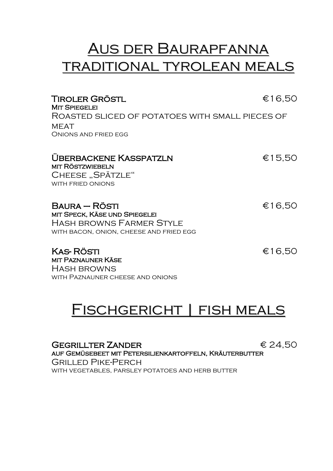## Aus der Baurapfanna traditional tyrolean meals

| TIROLER GRÖSTL<br><b>MIT SPIEGELEI</b>                                     | €16,50 |
|----------------------------------------------------------------------------|--------|
| ROASTED SLICED OF POTATOES WITH SMALL PIECES OF                            |        |
| <b>MEAT</b><br>ONIONS AND FRIED EGG                                        |        |
|                                                                            |        |
| <b>UBERBACKENE KASSPATZLN</b><br><b>MIT RÖSTZWIEBELN</b>                   | €15,50 |
| CHEESE "SPÄTZLE"<br><b>WITH FRIED ONIONS</b>                               |        |
|                                                                            |        |
| <b>BAURA – RÖSTI</b><br>MIT SPECK, KÄSE UND SPIEGELEI                      | €16,50 |
| <b>HASH BROWNS FARMER STYLE</b><br>WITH BACON, ONION, CHEESE AND FRIED EGG |        |
| <b>KAS-RÖSTI</b><br><b>MIT PAZNAUNER KÄSE</b>                              | €16,50 |
| <b>HASH BROWNS</b>                                                         |        |

### Fischgericht | fish meals

with Paznauner cheese and onions

GEGRILLTER ZANDER  $624,50$ auf Gemüsebeet mit Petersilienkartoffeln, Kräuterbutter Grilled Pike-Perch WITH VEGETABLES, PARSLEY POTATOES AND HERB BUTTER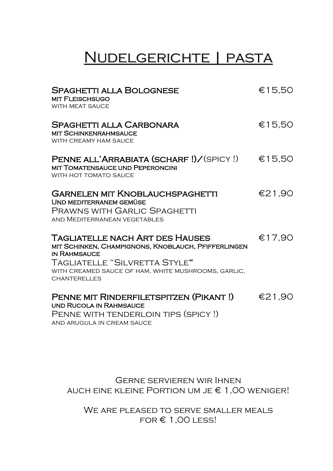## Nudelgerichte | pasta

| <b>SPAGHETTI ALLA BOLOGNESE</b><br><b>MIT FLEISCHSUGO</b><br><b>WITH MEAT SAUCE</b>                                                                                                                                   | €15,50 |
|-----------------------------------------------------------------------------------------------------------------------------------------------------------------------------------------------------------------------|--------|
| <b>SPAGHETTI ALLA CARBONARA</b><br><b>MIT SCHINKENRAHMSAUCE</b><br>WITH CREAMY HAM SAUCE                                                                                                                              | €15,50 |
| PENNE ALL'ARRABIATA (SCHARF!)/(SPICY!)<br><b>MIT TOMATENSAUCE UND PEPERONCINI</b><br>WITH HOT TOMATO SAUCE                                                                                                            | €15,50 |
| <b>GARNELEN MIT KNOBLAUCHSPAGHETTI</b><br><b>UND MEDITERRANEM GEMÜSE</b><br><b>PRAWNS WITH GARLIC SPAGHETTI</b><br>AND MEDITERRANEAN VEGETABLES                                                                       | €21,90 |
| TAGLIATELLE NACH ART DES HAUSES<br>MIT SCHINKEN, CHAMPIGNONS, KNOBLAUCH, PFIFFERLINGEN<br><b>IN RAHMSAUCE</b><br>TAGLIATELLE "SILVRETTA STYLE"<br>WITH CREAMED SAUCE OF HAM, WHITE MUSHROOMS, GARLIC,<br>CHANTERELLES | €17,90 |
| PENNE MIT RINDERFILETSPITZEN (PIKANT!)<br><b>UND RUCOLA IN RAHMSAUCE</b><br>PENNE WITH TENDERLOIN TIPS (SPICY!)<br>AND ARUGULA IN CREAM SAUCE                                                                         | €21,90 |

Gerne servieren wir Ihnen AUCH EINE KLEINE PORTION UM JE  $\epsilon$  1,00 weniger!

We are pleased to serve smaller meals  $FOR \in 1,00$  LESS!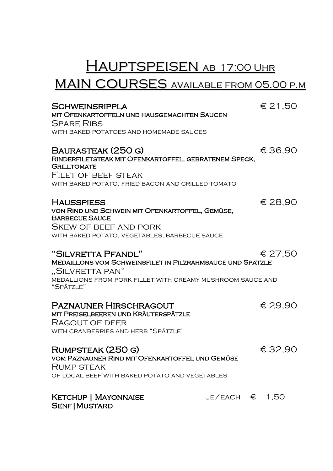# HAUPTSPEISEN AB 17:00 UHR

### MAIN COURSES AVAILABLE FROM 05.00 P.M

| <b>SCHWEINSRIPPLA</b><br>MIT OFENKARTOFFELN UND HAUSGEMACHTEN SAUCEN<br><b>SPARE RIBS</b><br>WITH BAKED POTATOES AND HOMEMADE SAUCES                                          |                         | € 21,50 |
|-------------------------------------------------------------------------------------------------------------------------------------------------------------------------------|-------------------------|---------|
| <b>BAURASTEAK (250 G)</b><br>RINDERFILETSTEAK MIT OFENKARTOFFEL, GEBRATENEM SPECK,<br><b>GRILLTOMATE</b><br><b>FILET OF BEEF STEAK</b>                                        |                         | €36,90  |
| WITH BAKED POTATO, FRIED BACON AND GRILLED TOMATO                                                                                                                             |                         |         |
| <b>HAUSSPIESS</b><br>VON RIND UND SCHWEIN MIT OFENKARTOFFEL, GEMÜSE,<br><b>BARBECUE SAUCE</b><br><b>SKEW OF BEEF AND PORK</b>                                                 |                         | € 28,90 |
| WITH BAKED POTATO, VEGETABLES, BARBECUE SAUCE                                                                                                                                 |                         |         |
| "SILVRETTA PFANDL"<br>MEDAILLONS VOM SCHWEINSFILET IN PILZRAHMSAUCE UND SPÄTZLE<br>"SILVRETTA PAN"<br>MEDALLIONS FROM PORK FILLET WITH CREAMY MUSHROOM SAUCE AND<br>"SPÄTZLE" |                         | € 27,50 |
| <b>PAZNAUNER HIRSCHRAGOUT</b><br>MIT PREISELBEEREN UND KRÄUTERSPÄTZLE<br>RAGOUT OF DEER<br>WITH CRANBERRIES AND HERB "SPÄTZLE"                                                |                         | € 29,90 |
| RUMPSTEAK (250 G)<br>VOM PAZNAUNER RIND MIT OFENKARTOFFEL UND GEMÜSE<br><b>RUMP STEAK</b><br>OF LOCAL BEEF WITH BAKED POTATO AND VEGETABLES                                   |                         | €32,90  |
| <b>KETCHUP   MAYONNAISE</b><br><b>SENF   MUSTARD</b>                                                                                                                          | JE/EACH $\epsilon$ 1,50 |         |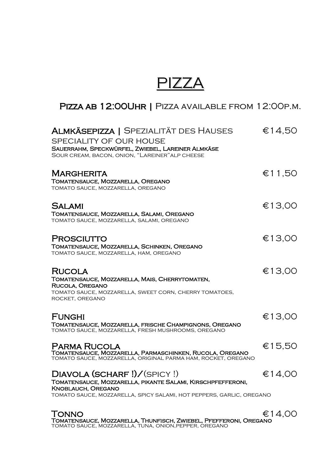## PIZZA

### PIZZA AB 12:00UHR | PIZZA AVAILABLE FROM 12:00P.M.

| <b>ALMKÄSEPIZZA   SPEZIALITÄT DES HAUSES</b><br>SPECIALITY OF OUR HOUSE<br>SAUERRAHM, SPECKWÜRFEL, ZWIEBEL, LAREINER ALMKÄSE<br>SOUR CREAM, BACON, ONION, "LAREINER" ALP CHEESE                  | €14,50 |
|--------------------------------------------------------------------------------------------------------------------------------------------------------------------------------------------------|--------|
| <b>MARGHERITA</b><br>TOMATENSAUCE, MOZZARELLA, OREGANO<br>TOMATO SAUCE, MOZZARELLA, OREGANO                                                                                                      | €11,50 |
| <b>SALAMI</b><br>TOMATENSAUCE, MOZZARELLA, SALAMI, OREGANO<br>TOMATO SAUCE, MOZZARELLA, SALAMI, OREGANO                                                                                          | €13,00 |
| PROSCIUTTO<br>TOMATENSAUCE, MOZZARELLA, SCHINKEN, OREGANO<br>TOMATO SAUCE, MOZZARELLA, HAM, OREGANO                                                                                              | €13,00 |
| <b>RUCOLA</b><br>TOMATENSAUCE, MOZZARELLA, MAIS, CHERRYTOMATEN,<br>RUCOLA, OREGANO<br>TOMATO SAUCE, MOZZARELLA, SWEET CORN, CHERRY TOMATOES,<br>ROCKET, OREGANO                                  | €13,00 |
| <b>FUNGHI</b><br>TOMATENSAUCE, MOZZARELLA, FRISCHE CHAMPIGNONS, OREGANO<br>TOMATO SAUCE, MOZZARELLA, FRESH MUSHROOMS, OREGANO                                                                    | €13,00 |
| <b>PARMA RUCOLA</b><br>TOMATENSAUCE, MOZZARELLA, PARMASCHINKEN, RUCOLA, OREGANO<br>TOMATO SAUCE, MOZZARELLA, ORIGINAL PARMA HAM, ROCKET, OREGANO                                                 | €15,50 |
| DIAVOLA (SCHARF !)/(SPICY !)<br>TOMATENSAUCE, MOZZARELLA, PIKANTE SALAMI, KIRSCHPFEFFERONI,<br><b>KNOBLAUCH, OREGANO</b><br>TOMATO SAUCE, MOZZARELLA, SPICY SALAMI, HOT PEPPERS, GARLIC, OREGANO | €14,00 |
| <b>TONNO</b>                                                                                                                                                                                     | €14,00 |

Tomatensauce, Mozzarella, Thunfisch, Zwiebel, Pfefferoni, Oregano tomato sauce, mozzarella, tuna, onion,pepper, oregano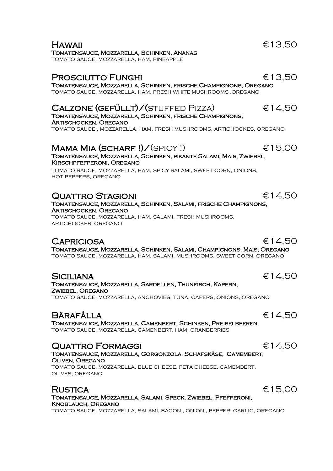tomato sauce, mozzarella, ham, pineapple

#### PROSCIUTTO FUNGHI <del>€13,50</del>

Tomatensauce, Mozzarella, Schinken, frische Champignons, Oregano tomato sauce, mozzarella, ham, fresh white mushrooms ,oregano

#### $CALZONE$  (GEFÜLLT)/(STUFFED PIZZA)  $€14,50$

Tomatensauce, Mozzarella, Schinken, frische Champignons, Artischocken, Oregano

tomato sauce , mozzarella, ham, fresh mushrooms, artichockes, oregano

#### MAMA MIA (SCHARF !)  $\angle$  (SPICY !)  $\epsilon$  15.00 Tomatensauce, Mozzarella, Schinken, pikante Salami, Mais, Zwiebel, Kirschpfefferoni, Oregano

tomato sauce, mozzarella, ham, spicy salami, sweet corn, onions, hot peppers, oregano

#### $\blacksquare$ Quattro Stagioni  $\epsilon$ 14,50

Tomatensauce, Mozzarella, Schinken, Salami, frische Champignons, Artischocken, Oregano

tomato sauce, mozzarella, ham, salami, fresh mushrooms, artichockes, oregano

#### $CAPRICIOSA$   $\epsilon$  14,50

Tomatensauce, Mozzarella, Schinken, Salami, Champignons, Mais, Oregano tomato sauce, mozzarella, ham, salami, mushrooms, sweet corn, oregano

#### $SICILIANA \qquad \qquad \epsilon 14.50$

Tomatensauce, Mozzarella, Sardellen, Thunfisch, Kapern, Zwiebel, Oregano tomato sauce, mozzarella, anchovies, tuna, capers, onions, oregano

### Bärafålla €14,50

Tomatensauce, Mozzarella, Camenbert, Schinken, Preiselbeeren tomato sauce, mozzarella, camenbert, ham, cranberries

#### $\blacksquare$ Quattro Formaggi  $\blacksquare$

#### Tomatensauce, Mozzarella, Gorgonzola, Schafskäse, Camembert, Oliven, Oregano

tomato sauce, mozzarella, blue cheese, feta cheese, camembert, olives, oregano

#### $R$ ustica  $€15,00$ Tomatensauce, Mozzarella, Salami, Speck, Zwiebel, Pfefferoni, Knoblauch, Oregano

tomato sauce, mozzarella, salami, bacon , onion , pepper, garlic, oregano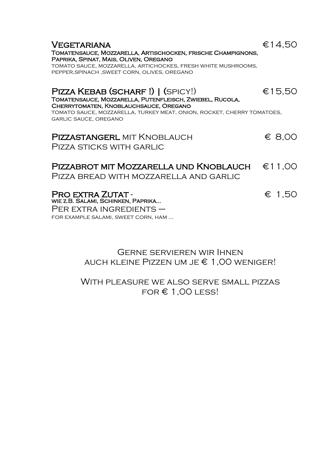| <b>VEGETARIANA</b><br>TOMATENSAUCE, MOZZARELLA, ARTISCHOCKEN, FRISCHE CHAMPIGNONS,<br>PAPRIKA, SPINAT, MAIS, OLIVEN, OREGANO<br>TOMATO SAUCE, MOZZARELLA, ARTICHOCKES, FRESH WHITE MUSHROOMS,<br>PEPPER, SPINACH, SWEET CORN, OLIVES, OREGANO    | €14.50 |
|--------------------------------------------------------------------------------------------------------------------------------------------------------------------------------------------------------------------------------------------------|--------|
| PIZZA KEBAB (SCHARF!)   (SPICY!)<br>TOMATENSAUCE, MOZZARELLA, PUTENFLEISCH, ZWIEBEL, RUCOLA,<br>CHERRYTOMATEN, KNOBLAUCHSAUCE, OREGANO<br>TOMATO SAUCE, MOZZARELLA, TURKEY MEAT, ONION, ROCKET, CHERRY TOMATOES,<br><b>GARLIC SAUCE, OREGANO</b> | €15,50 |
| <b>PIZZASTANGERL MIT KNOBLAUCH</b><br>PIZZA STICKS WITH GARLIC                                                                                                                                                                                   | € 8,00 |
| PIZZABROT MIT MOZZARELLA UND KNOBLAUCH<br>Pizza bread with mozzarella and garlic                                                                                                                                                                 | €11,00 |
| <b>PRO EXTRA ZUTAT -</b><br>WIE Z.B. SALAMI, SCHINKEN, PAPRIKA<br>$PER$ EXTRA INGREDIENTS $-$                                                                                                                                                    | € 1,50 |

for example salami, sweet corn, ham …

#### Gerne servieren wir Ihnen auch kleine Pizzen um je € 1,00 weniger!

#### With pleasure we also serve small pizzas  $FOR \in 1,00$  LESS!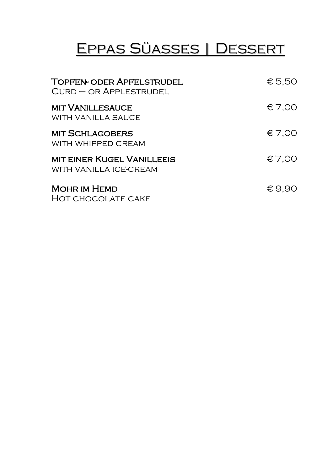# Eppas Süasses | Dessert

| <b>TOPFEN- ODER APFELSTRUDEL</b><br>$C$ URD $-$ OR APPLESTRUDEL | € 5.50          |
|-----------------------------------------------------------------|-----------------|
| <b>MIT VANILLESAUCE</b><br><b>WITH VANILLA SAUCE</b>            | \$7,00          |
| <b>MIT SCHLAGOBERS</b><br>WITH WHIPPED CREAM                    | \$7,00          |
| <b>MIT EINER KUGEL VANILLEEIS</b><br>WITH VANILLA ICE-CREAM     | \$7,00          |
| <b>MOHR IM HEMD</b><br>HOT CHOCOLATE CAKE                       | $\epsilon$ 9.90 |